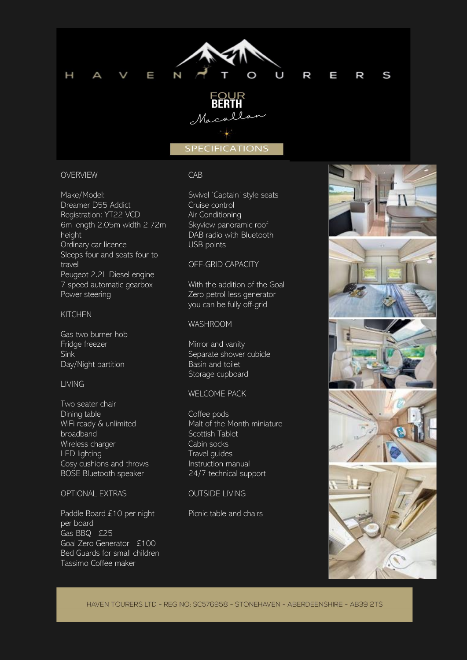

### OVERVIEW

Make/Model: Dreamer D55 Addict Registration: YT22 VCD 6m length 2.05m width 2.72m height Ordinary car licence Sleeps four and seats four to travel Peugeot 2.2L Diesel engine 7 speed automatic gearbox Power steering

#### KITCHEN

Gas two burner hob Fridge freezer Sink Day/Night partition

## LIVING

Two seater chair Dining table WiFi ready & unlimited broadband Wireless charger LED lighting Cosy cushions and throws BOSE Bluetooth speaker

# OPTIONAL EXTRAS

Paddle Board £10 per night per board Gas BBQ - £25 Goal Zero Generator - £100 Bed Guards for small children Tassimo Coffee maker

#### CAB

Swivel 'Captain' style seats Cruise control Air Conditioning Skyview panoramic roof DAB radio with Bluetooth USB points

### OFF-GRID CAPACITY

With the addition of the Goal Zero petrol-less generator you can be fully off-grid

# WASHROOM

Mirror and vanity Separate shower cubicle Basin and toilet Storage cupboard

## WELCOME PACK

Coffee pods Malt of the Month miniature Scottish Tablet Cabin socks Travel guides Instruction manual 24/7 technical support

## OUTSIDE LIVING

Picnic table and chairs